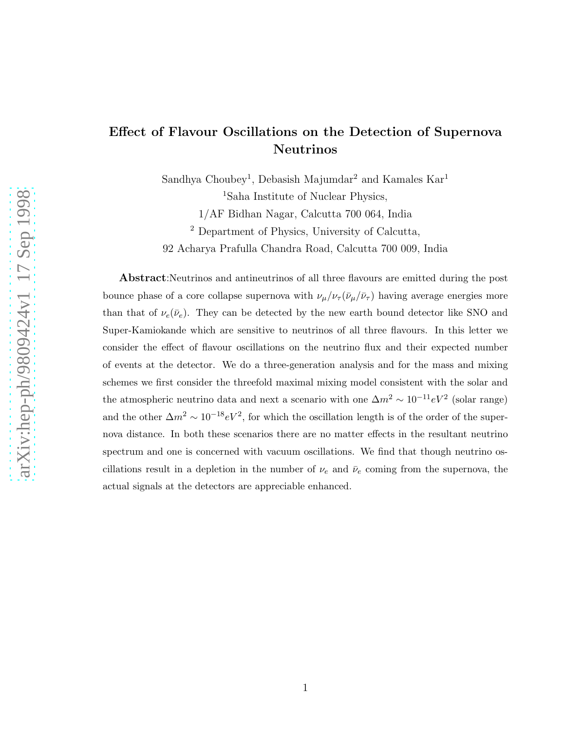## Effect of Flavour Oscillations on the Detection of Supernova Neutrinos

Sandhya Choubey<sup>1</sup>, Debasish Majumdar<sup>2</sup> and Kamales  $Kar<sup>1</sup>$ 

<sup>1</sup>Saha Institute of Nuclear Physics,

1/AF Bidhan Nagar, Calcutta 700 064, India

<sup>2</sup> Department of Physics, University of Calcutta,

92 Acharya Prafulla Chandra Road, Calcutta 700 009, India

Abstract:Neutrinos and antineutrinos of all three flavours are emitted during the post bounce phase of a core collapse supernova with  $\nu_\mu/\nu_\tau(\bar{\nu}_\mu/\bar{\nu}_\tau)$  having average energies more than that of  $\nu_e(\bar{\nu}_e)$ . They can be detected by the new earth bound detector like SNO and Super-Kamiokande which are sensitive to neutrinos of all three flavours. In this letter we consider the effect of flavour oscillations on the neutrino flux and their expected number of events at the detector. We do a three-generation analysis and for the mass and mixing schemes we first consider the threefold maximal mixing model consistent with the solar and the atmospheric neutrino data and next a scenario with one  $\Delta m^2 \sim 10^{-11} eV^2$  (solar range) and the other  $\Delta m^2 \sim 10^{-18} eV^2$ , for which the oscillation length is of the order of the supernova distance. In both these scenarios there are no matter effects in the resultant neutrino spectrum and one is concerned with vacuum oscillations. We find that though neutrino oscillations result in a depletion in the number of  $\nu_e$  and  $\bar{\nu}_e$  coming from the supernova, the actual signals at the detectors are appreciable enhanced.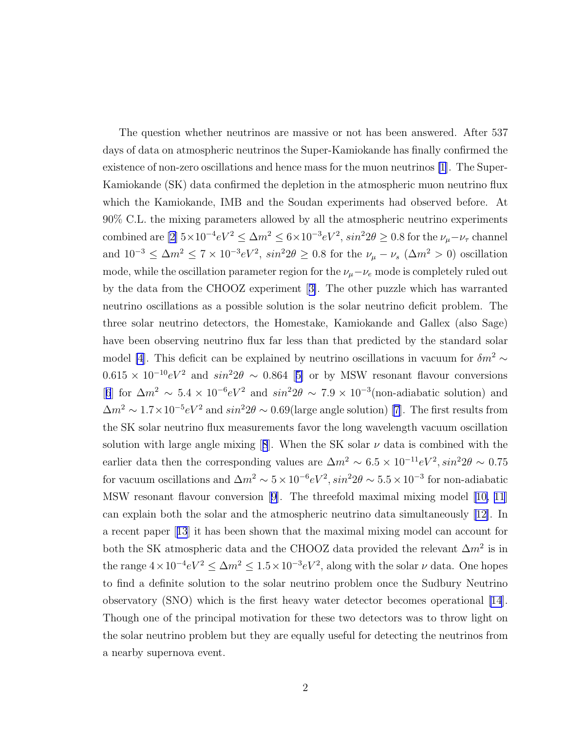The question whether neutrinos are massive or not has been answered. After 537 days of data on atmospheric neutrinos the Super-Kamiokande has finally confirmed the existence of non-zero oscillations and hence mass for the muon neutrinos [\[1](#page-8-0)]. The Super-Kamiokande (SK) data confirmed the depletion in the atmospheric muon neutrino flux which the Kamiokande, IMB and the Soudan experiments had observed before. At 90% C.L. the mixing parameters allowed by all the atmospheric neutrino experiments combined are  $[2] 5 \times 10^{-4} eV^2 \le \Delta m^2 \le 6 \times 10^{-3} eV^2$ ,  $sin^2 2\theta \ge 0.8$  for the  $\nu_\mu - \nu_\tau$  channel and  $10^{-3} \le \Delta m^2 \le 7 \times 10^{-3} eV^2$ ,  $sin^2 2\theta \ge 0.8$  for the  $\nu_\mu - \nu_s$   $(\Delta m^2 > 0)$  oscillation mode, while the oscillation parameter region for the  $\nu_\mu-\nu_e$  mode is completely ruled out by the data from the CHOOZ experiment[[3\]](#page-8-0). The other puzzle which has warranted neutrino oscillations as a possible solution is the solar neutrino deficit problem. The three solar neutrino detectors, the Homestake, Kamiokande and Gallex (also Sage) have been observing neutrino flux far less than that predicted by the standard solar model [\[4](#page-8-0)]. This deficit can be explained by neutrino oscillations in vacuum for  $\delta m^2 \sim$  $0.615 \times 10^{-10} eV^2$  $0.615 \times 10^{-10} eV^2$  $0.615 \times 10^{-10} eV^2$  and  $sin^2 2\theta \sim 0.864$  [[5\]](#page-9-0) or by MSW resonant flavour conversions [[6](#page-9-0)] for  $\Delta m^2 \sim 5.4 \times 10^{-6} eV^2$  and  $sin^2 2\theta \sim 7.9 \times 10^{-3}$  (non-adiabatic solution) and  $\Delta m^2 \sim 1.7 \times 10^{-5} eV^2$  and  $sin^2 2\theta \sim 0.69$  (large angle solution) [\[7](#page-9-0)]. The first results from the SK solar neutrino flux measurements favor the long wavelength vacuum oscillation solutionwith large angle mixing [[8](#page-9-0)]. When the SK solar  $\nu$  data is combined with the earlier data then the corresponding values are  $\Delta m^2 \sim 6.5 \times 10^{-11} eV^2, sin^2 2\theta \sim 0.75$ for vacuum oscillations and  $\Delta m^2 \sim 5 \times 10^{-6} eV^2$ ,  $sin^2 2\theta \sim 5.5 \times 10^{-3}$  for non-adiabatic MSW resonant flavour conversion [\[9\]](#page-9-0). The threefold maximal mixing model[[10, 11](#page-9-0)] can explain both the solar and the atmospheric neutrino data simultaneously[[12\]](#page-9-0). In a recent paper[[13](#page-9-0)] it has been shown that the maximal mixing model can account for both the SK atmospheric data and the CHOOZ data provided the relevant  $\Delta m^2$  is in the range  $4 \times 10^{-4} eV^2 \le \Delta m^2 \le 1.5 \times 10^{-3} eV^2$ , along with the solar  $\nu$  data. One hopes to find a definite solution to the solar neutrino problem once the Sudbury Neutrino observatory (SNO) which is the first heavy water detector becomes operational [\[14](#page-9-0)]. Though one of the principal motivation for these two detectors was to throw light on the solar neutrino problem but they are equally useful for detecting the neutrinos from a nearby supernova event.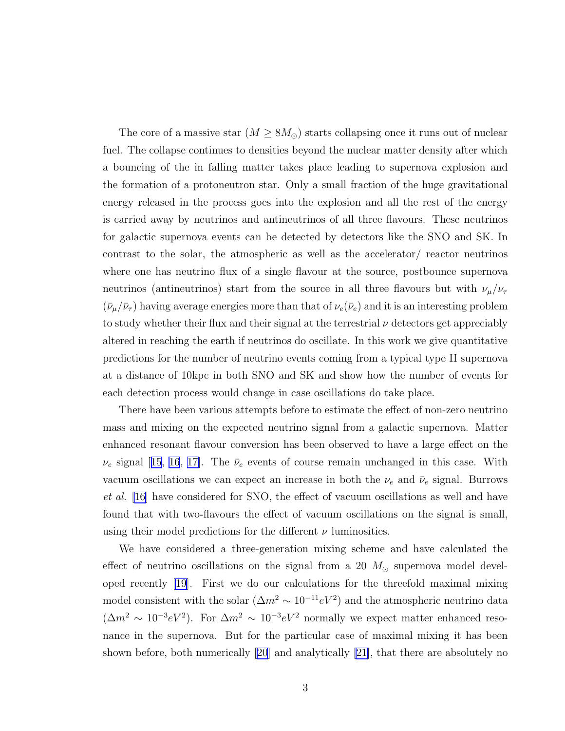The core of a massive star  $(M \geq 8M_{\odot})$  starts collapsing once it runs out of nuclear fuel. The collapse continues to densities beyond the nuclear matter density after which a bouncing of the in falling matter takes place leading to supernova explosion and the formation of a protoneutron star. Only a small fraction of the huge gravitational energy released in the process goes into the explosion and all the rest of the energy is carried away by neutrinos and antineutrinos of all three flavours. These neutrinos for galactic supernova events can be detected by detectors like the SNO and SK. In contrast to the solar, the atmospheric as well as the accelerator/ reactor neutrinos where one has neutrino flux of a single flavour at the source, postbounce supernova neutrinos (antineutrinos) start from the source in all three flavours but with  $\nu_\mu/\nu_\tau$  $(\bar{\nu}_{\mu}/\bar{\nu}_{\tau})$  having average energies more than that of  $\nu_e(\bar{\nu}_e)$  and it is an interesting problem to study whether their flux and their signal at the terrestrial  $\nu$  detectors get appreciably altered in reaching the earth if neutrinos do oscillate. In this work we give quantitative predictions for the number of neutrino events coming from a typical type II supernova at a distance of 10kpc in both SNO and SK and show how the number of events for each detection process would change in case oscillations do take place.

There have been various attempts before to estimate the effect of non-zero neutrino mass and mixing on the expected neutrino signal from a galactic supernova. Matter enhanced resonant flavour conversion has been observed to have a large effect on the  $\nu_e$ signal [[15](#page-9-0), [16, 17\]](#page-9-0). The  $\bar{\nu}_e$  events of course remain unchanged in this case. With vacuum oscillations we can expect an increase in both the  $\nu_e$  and  $\bar{\nu}_e$  signal. Burrows et al. [[16\]](#page-9-0) have considered for SNO, the effect of vacuum oscillations as well and have found that with two-flavours the effect of vacuum oscillations on the signal is small, using their model predictions for the different  $\nu$  luminosities.

We have considered a three-generation mixing scheme and have calculated the effect of neutrino oscillations on the signal from a 20  $M_{\odot}$  supernova model developed recently [\[19](#page-9-0)]. First we do our calculations for the threefold maximal mixing model consistent with the solar  $(\Delta m^2 \sim 10^{-11} eV^2)$  and the atmospheric neutrino data  $(\Delta m^2 \sim 10^{-3} eV^2)$ . For  $\Delta m^2 \sim 10^{-3} eV^2$  normally we expect matter enhanced resonance in the supernova. But for the particular case of maximal mixing it has been shown before, both numerically[[20](#page-9-0)] and analytically [\[21\]](#page-10-0), that there are absolutely no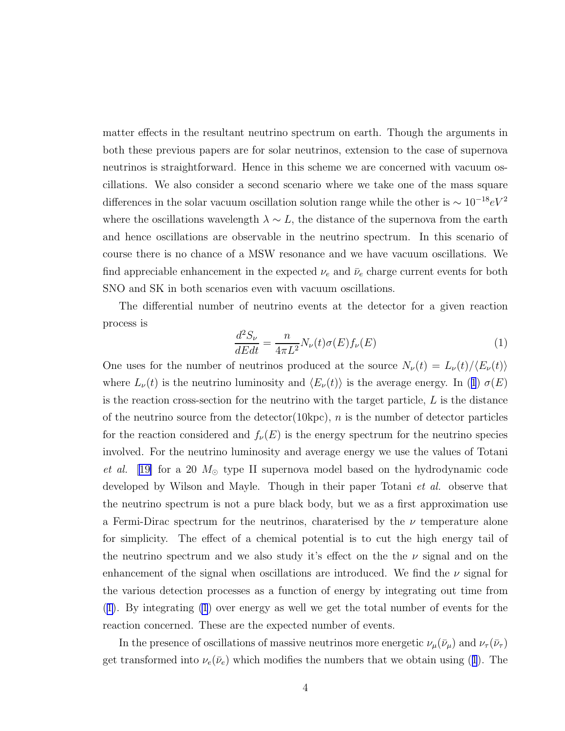<span id="page-3-0"></span>matter effects in the resultant neutrino spectrum on earth. Though the arguments in both these previous papers are for solar neutrinos, extension to the case of supernova neutrinos is straightforward. Hence in this scheme we are concerned with vacuum oscillations. We also consider a second scenario where we take one of the mass square differences in the solar vacuum oscillation solution range while the other is  $\sim 10^{-18} eV^2$ where the oscillations wavelength  $\lambda \sim L$ , the distance of the supernova from the earth and hence oscillations are observable in the neutrino spectrum. In this scenario of course there is no chance of a MSW resonance and we have vacuum oscillations. We find appreciable enhancement in the expected  $\nu_e$  and  $\bar{\nu}_e$  charge current events for both SNO and SK in both scenarios even with vacuum oscillations.

The differential number of neutrino events at the detector for a given reaction process is

$$
\frac{d^2S_{\nu}}{dEdt} = \frac{n}{4\pi L^2} N_{\nu}(t)\sigma(E)f_{\nu}(E)
$$
\n(1)

One uses for the number of neutrinos produced at the source  $N_{\nu}(t) = L_{\nu}(t)/\langle E_{\nu}(t)\rangle$ where  $L_{\nu}(t)$  is the neutrino luminosity and  $\langle E_{\nu}(t)\rangle$  is the average energy. In (1)  $\sigma(E)$ is the reaction cross-section for the neutrino with the target particle,  $L$  is the distance of the neutrino source from the detector  $(10kpc)$ , n is the number of detector particles for the reaction considered and  $f_{\nu}(E)$  is the energy spectrum for the neutrino species involved. For the neutrino luminosity and average energy we use the values of Totani *et al.* [\[19\]](#page-9-0) for a 20  $M_{\odot}$  type II supernova model based on the hydrodynamic code developed by Wilson and Mayle. Though in their paper Totani *et al.* observe that the neutrino spectrum is not a pure black body, but we as a first approximation use a Fermi-Dirac spectrum for the neutrinos, charaterised by the  $\nu$  temperature alone for simplicity. The effect of a chemical potential is to cut the high energy tail of the neutrino spectrum and we also study it's effect on the the  $\nu$  signal and on the enhancement of the signal when oscillations are introduced. We find the  $\nu$  signal for the various detection processes as a function of energy by integrating out time from (1). By integrating (1) over energy as well we get the total number of events for the reaction concerned. These are the expected number of events.

In the presence of oscillations of massive neutrinos more energetic  $\nu_\mu(\bar{\nu}_\mu)$  and  $\nu_\tau(\bar{\nu}_\tau)$ get transformed into  $\nu_e(\bar{\nu}_e)$  which modifies the numbers that we obtain using (1). The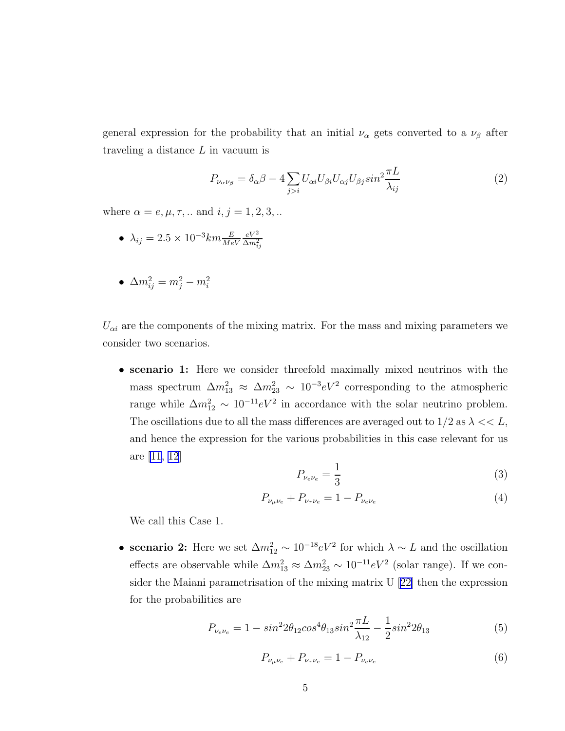general expression for the probability that an initial  $\nu_{\alpha}$  gets converted to a  $\nu_{\beta}$  after traveling a distance  $L$  in vacuum is

$$
P_{\nu_{\alpha}\nu_{\beta}} = \delta_{\alpha}\beta - 4\sum_{j>i} U_{\alpha i} U_{\beta i} U_{\alpha j} U_{\beta j} \sin^2 \frac{\pi L}{\lambda_{ij}} \tag{2}
$$

where  $\alpha = e, \mu, \tau, ...$  and  $i, j = 1, 2, 3, ...$ 

- $\lambda_{ij} = 2.5 \times 10^{-3} km \frac{E}{MeV}$  $eV^2$  $\Delta m^2_{ij}$
- $\Delta m_{ij}^2 = m_j^2 m_i^2$

 $U_{\alpha i}$  are the components of the mixing matrix. For the mass and mixing parameters we consider two scenarios.

• scenario 1: Here we consider threefold maximally mixed neutrinos with the mass spectrum  $\Delta m_{13}^2 \approx \Delta m_{23}^2 \sim 10^{-3} eV^2$  corresponding to the atmospheric range while  $\Delta m_{12}^2 \sim 10^{-11} eV^2$  in accordance with the solar neutrino problem. The oscillations due to all the mass differences are averaged out to  $1/2$  as  $\lambda << L$ , and hence the expression for the various probabilities in this case relevant for us are [\[11](#page-9-0), [12\]](#page-9-0)

$$
P_{\nu_e \nu_e} = \frac{1}{3} \tag{3}
$$

$$
P_{\nu_{\mu}\nu_{e}} + P_{\nu_{\tau}\nu_{e}} = 1 - P_{\nu_{e}\nu_{e}} \tag{4}
$$

We call this Case 1.

• scenario 2: Here we set  $\Delta m_{12}^2 \sim 10^{-18} eV^2$  for which  $\lambda \sim L$  and the oscillation effects are observable while  $\Delta m_{13}^2 \approx \Delta m_{23}^2 \sim 10^{-11} eV^2$  (solar range). If we consider the Maiani parametrisation of the mixing matrix U [\[22\]](#page-10-0) then the expression for the probabilities are

$$
P_{\nu_e \nu_e} = 1 - \sin^2 2\theta_{12} \cos^4 \theta_{13} \sin^2 \frac{\pi L}{\lambda_{12}} - \frac{1}{2} \sin^2 2\theta_{13} \tag{5}
$$

$$
P_{\nu_{\mu}\nu_{e}} + P_{\nu_{\tau}\nu_{e}} = 1 - P_{\nu_{e}\nu_{e}} \tag{6}
$$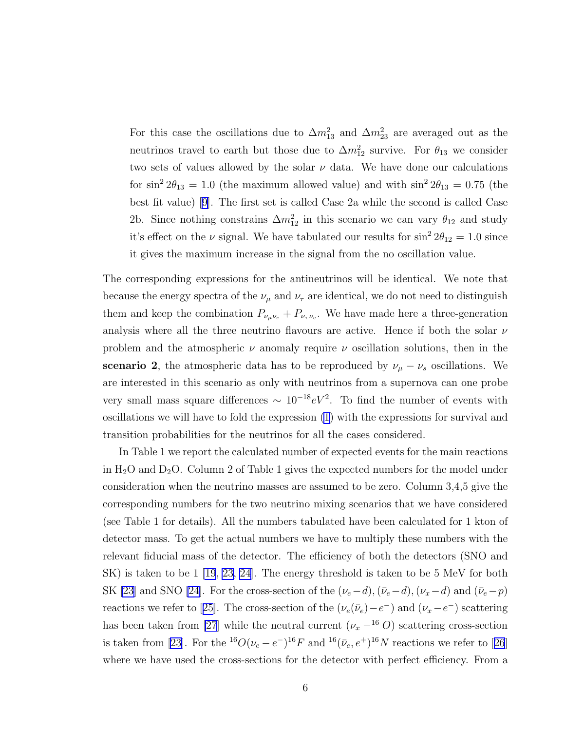For this case the oscillations due to  $\Delta m_{13}^2$  and  $\Delta m_{23}^2$  are averaged out as the neutrinos travel to earth but those due to  $\Delta m_{12}^2$  survive. For  $\theta_{13}$  we consider two sets of values allowed by the solar  $\nu$  data. We have done our calculations for  $\sin^2 2\theta_{13} = 1.0$  (the maximum allowed value) and with  $\sin^2 2\theta_{13} = 0.75$  (the best fit value) [\[9\]](#page-9-0). The first set is called Case 2a while the second is called Case 2b. Since nothing constrains  $\Delta m_{12}^2$  in this scenario we can vary  $\theta_{12}$  and study it's effect on the  $\nu$  signal. We have tabulated our results for  $\sin^2 2\theta_{12} = 1.0$  since it gives the maximum increase in the signal from the no oscillation value.

The corresponding expressions for the antineutrinos will be identical. We note that because the energy spectra of the  $\nu_{\mu}$  and  $\nu_{\tau}$  are identical, we do not need to distinguish them and keep the combination  $P_{\nu_{\mu}\nu_{e}} + P_{\nu_{\tau}\nu_{e}}$ . We have made here a three-generation analysis where all the three neutrino flavours are active. Hence if both the solar  $\nu$ problem and the atmospheric  $\nu$  anomaly require  $\nu$  oscillation solutions, then in the scenario 2, the atmospheric data has to be reproduced by  $\nu_{\mu} - \nu_{s}$  oscillations. We are interested in this scenario as only with neutrinos from a supernova can one probe very small mass square differences  $\sim 10^{-18} eV^2$ . To find the number of events with oscillations we will have to fold the expression [\(1](#page-3-0)) with the expressions for survival and transition probabilities for the neutrinos for all the cases considered.

In Table 1 we report the calculated number of expected events for the main reactions in  $H_2O$  and  $D_2O$ . Column 2 of Table 1 gives the expected numbers for the model under consideration when the neutrino masses are assumed to be zero. Column 3,4,5 give the corresponding numbers for the two neutrino mixing scenarios that we have considered (see Table 1 for details). All the numbers tabulated have been calculated for 1 kton of detector mass. To get the actual numbers we have to multiply these numbers with the relevant fiducial mass of the detector. The efficiency of both the detectors (SNO and SK) is taken to be 1 [\[19](#page-9-0), [23, 24\]](#page-10-0). The energy threshold is taken to be 5 MeV for both SK [\[23](#page-10-0)] and SNO [\[24\]](#page-10-0). For the cross-section of the  $(\nu_e-d),(\bar{\nu}_e-d),(\nu_x-d)$  and  $(\bar{\nu}_e-p)$ reactionswe refer to [[25](#page-10-0)]. The cross-section of the  $(\nu_e(\bar{\nu}_e) - e^-)$  and  $(\nu_x - e^-)$  scattering has been taken from [\[27](#page-10-0)] while the neutral current  $(\nu_x - ^{16}O)$  scattering cross-section istaken from [[23\]](#page-10-0). For the <sup>16</sup> $O(\nu_e - e^{-})^{16}F$  and <sup>16</sup> $(\bar{\nu}_e, e^{+})^{16}N$  reactions we refer to [[26](#page-10-0)] where we have used the cross-sections for the detector with perfect efficiency. From a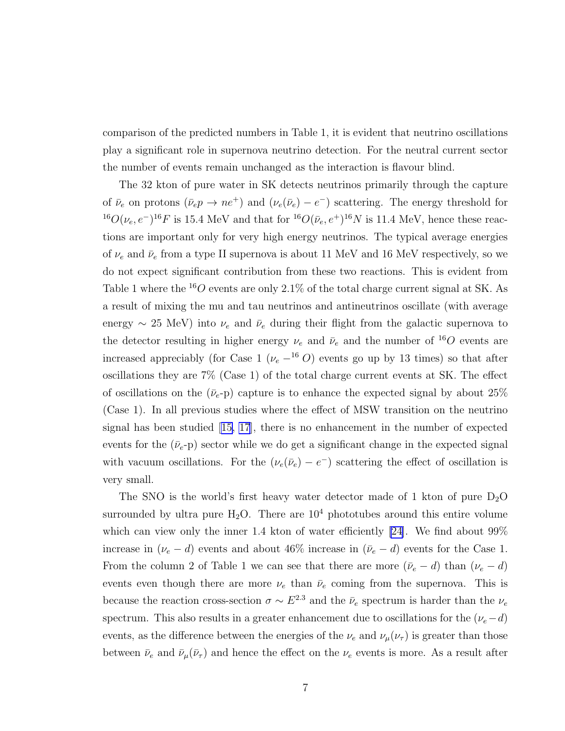comparison of the predicted numbers in Table 1, it is evident that neutrino oscillations play a significant role in supernova neutrino detection. For the neutral current sector the number of events remain unchanged as the interaction is flavour blind.

The 32 kton of pure water in SK detects neutrinos primarily through the capture of  $\bar{\nu}_e$  on protons  $(\bar{\nu}_e p \to n e^+)$  and  $(\nu_e (\bar{\nu}_e) - e^-)$  scattering. The energy threshold for <sup>16</sup> $O(\nu_e, e^{-})^{16}F$  is 15.4 MeV and that for <sup>16</sup> $O(\bar{\nu}_e, e^{+})^{16}N$  is 11.4 MeV, hence these reactions are important only for very high energy neutrinos. The typical average energies of  $\nu_e$  and  $\bar{\nu}_e$  from a type II supernova is about 11 MeV and 16 MeV respectively, so we do not expect significant contribution from these two reactions. This is evident from Table 1 where the  $^{16}O$  events are only 2.1% of the total charge current signal at SK. As a result of mixing the mu and tau neutrinos and antineutrinos oscillate (with average energy  $\sim$  25 MeV) into  $\nu_e$  and  $\bar{\nu}_e$  during their flight from the galactic supernova to the detector resulting in higher energy  $\nu_e$  and  $\bar{\nu}_e$  and the number of <sup>16</sup>O events are increased appreciably (for Case 1 ( $\nu_e$  –<sup>16</sup> O) events go up by 13 times) so that after oscillations they are 7% (Case 1) of the total charge current events at SK. The effect of oscillations on the  $(\bar{\nu}_e$ -p) capture is to enhance the expected signal by about 25% (Case 1). In all previous studies where the effect of MSW transition on the neutrino signal has been studied[[15, 17](#page-9-0)], there is no enhancement in the number of expected events for the  $(\bar{\nu}_e$ -p) sector while we do get a significant change in the expected signal with vacuum oscillations. For the  $(\nu_e(\bar{\nu}_e) - e^-)$  scattering the effect of oscillation is very small.

The SNO is the world's first heavy water detector made of 1 kton of pure  $D_2O$ surrounded by ultra pure  $H_2O$ . There are  $10^4$  phototubes around this entire volume which can view only the inner 1.4 kton of water efficiently [\[24\]](#page-10-0). We find about 99% increase in  $(\nu_e - d)$  events and about 46% increase in  $(\bar{\nu}_e - d)$  events for the Case 1. From the column 2 of Table 1 we can see that there are more  $(\bar{\nu}_e - d)$  than  $(\nu_e - d)$ events even though there are more  $\nu_e$  than  $\bar{\nu}_e$  coming from the supernova. This is because the reaction cross-section  $\sigma \sim E^{2.3}$  and the  $\bar{\nu}_e$  spectrum is harder than the  $\nu_e$ spectrum. This also results in a greater enhancement due to oscillations for the  $(\nu_e-d)$ events, as the difference between the energies of the  $\nu_e$  and  $\nu_\mu(\nu_\tau)$  is greater than those between  $\bar{\nu}_e$  and  $\bar{\nu}_\mu(\bar{\nu}_\tau)$  and hence the effect on the  $\nu_e$  events is more. As a result after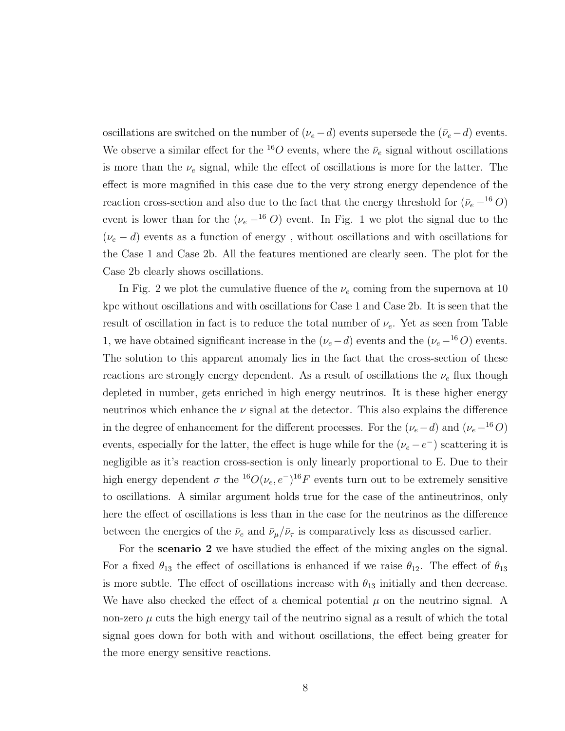oscillations are switched on the number of  $(\nu_e - d)$  events supersede the  $(\bar{\nu}_e - d)$  events. We observe a similar effect for the <sup>16</sup>O events, where the  $\bar{\nu}_e$  signal without oscillations is more than the  $\nu_e$  signal, while the effect of oscillations is more for the latter. The effect is more magnified in this case due to the very strong energy dependence of the reaction cross-section and also due to the fact that the energy threshold for  $(\bar{\nu}_e - ^{16}O)$ event is lower than for the ( $\nu_e$  –<sup>16</sup> O) event. In Fig. 1 we plot the signal due to the  $(\nu_e - d)$  events as a function of energy, without oscillations and with oscillations for the Case 1 and Case 2b. All the features mentioned are clearly seen. The plot for the Case 2b clearly shows oscillations.

In Fig. 2 we plot the cumulative fluence of the  $\nu_e$  coming from the supernova at 10 kpc without oscillations and with oscillations for Case 1 and Case 2b. It is seen that the result of oscillation in fact is to reduce the total number of  $\nu_e$ . Yet as seen from Table 1, we have obtained significant increase in the  $(\nu_e-d)$  events and the  $(\nu_e-16)$  events. The solution to this apparent anomaly lies in the fact that the cross-section of these reactions are strongly energy dependent. As a result of oscillations the  $\nu_e$  flux though depleted in number, gets enriched in high energy neutrinos. It is these higher energy neutrinos which enhance the  $\nu$  signal at the detector. This also explains the difference in the degree of enhancement for the different processes. For the  $(\nu_e-d)$  and  $(\nu_e-16O)$ events, especially for the latter, the effect is huge while for the  $(\nu_e - e^-)$  scattering it is negligible as it's reaction cross-section is only linearly proportional to E. Due to their high energy dependent  $\sigma$  the <sup>16</sup> $O(\nu_e, e^-)^{16}F$  events turn out to be extremely sensitive to oscillations. A similar argument holds true for the case of the antineutrinos, only here the effect of oscillations is less than in the case for the neutrinos as the difference between the energies of the  $\bar{\nu}_e$  and  $\bar{\nu}_\mu/\bar{\nu}_\tau$  is comparatively less as discussed earlier.

For the scenario 2 we have studied the effect of the mixing angles on the signal. For a fixed  $\theta_{13}$  the effect of oscillations is enhanced if we raise  $\theta_{12}$ . The effect of  $\theta_{13}$ is more subtle. The effect of oscillations increase with  $\theta_{13}$  initially and then decrease. We have also checked the effect of a chemical potential  $\mu$  on the neutrino signal. A non-zero  $\mu$  cuts the high energy tail of the neutrino signal as a result of which the total signal goes down for both with and without oscillations, the effect being greater for the more energy sensitive reactions.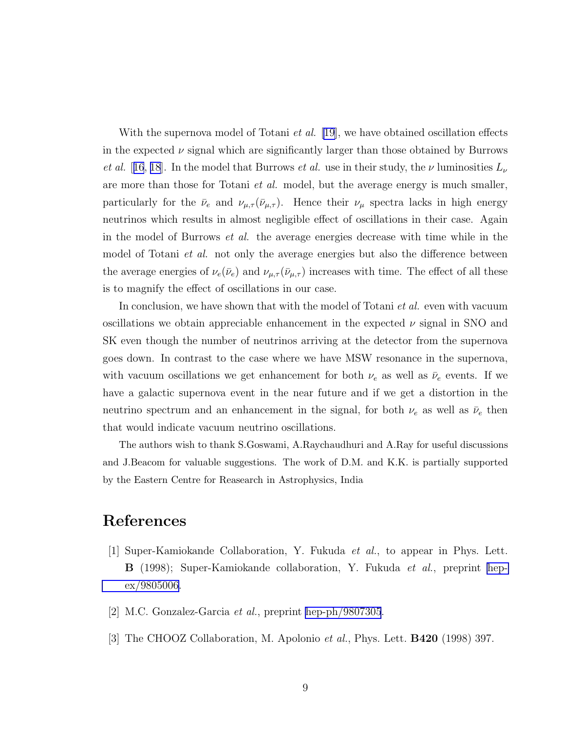<span id="page-8-0"></span>With the supernova model of Totani *et al.* [\[19\]](#page-9-0), we have obtained oscillation effects in the expected  $\nu$  signal which are significantly larger than those obtained by Burrows et al. [[16](#page-9-0), [18](#page-9-0)]. In the model that Burrows et al. use in their study, the  $\nu$  luminosities  $L_{\nu}$ are more than those for Totani *et al.* model, but the average energy is much smaller, particularly for the  $\bar{\nu}_e$  and  $\nu_{\mu,\tau}(\bar{\nu}_{\mu,\tau})$ . Hence their  $\nu_{\mu}$  spectra lacks in high energy neutrinos which results in almost negligible effect of oscillations in their case. Again in the model of Burrows et al. the average energies decrease with time while in the model of Totani *et al.* not only the average energies but also the difference between the average energies of  $\nu_e(\bar{\nu}_e)$  and  $\nu_{\mu,\tau}(\bar{\nu}_{\mu,\tau})$  increases with time. The effect of all these is to magnify the effect of oscillations in our case.

In conclusion, we have shown that with the model of Totani et al. even with vacuum oscillations we obtain appreciable enhancement in the expected  $\nu$  signal in SNO and SK even though the number of neutrinos arriving at the detector from the supernova goes down. In contrast to the case where we have MSW resonance in the supernova, with vacuum oscillations we get enhancement for both  $\nu_e$  as well as  $\bar{\nu}_e$  events. If we have a galactic supernova event in the near future and if we get a distortion in the neutrino spectrum and an enhancement in the signal, for both  $\nu_e$  as well as  $\bar{\nu}_e$  then that would indicate vacuum neutrino oscillations.

The authors wish to thank S.Goswami, A.Raychaudhuri and A.Ray for useful discussions and J.Beacom for valuable suggestions. The work of D.M. and K.K. is partially supported by the Eastern Centre for Reasearch in Astrophysics, India

## References

- $|1|$  Super-Kamiokande Collaboration, Y. Fukuda *et al.*, to appear in Phys. Lett. **B** (1998); Super-Kamiokande collaboration, Y. Fukuda *et al.*, preprint [hep](http://arxiv.org/abs/hep-ex/9805006)[ex/9805006.](http://arxiv.org/abs/hep-ex/9805006)
- [2] M.C. Gonzalez-Garcia et al., preprint [hep-ph/9807305](http://arxiv.org/abs/hep-ph/9807305).
- [3] The CHOOZ Collaboration, M. Apolonio et al., Phys. Lett. B420 (1998) 397.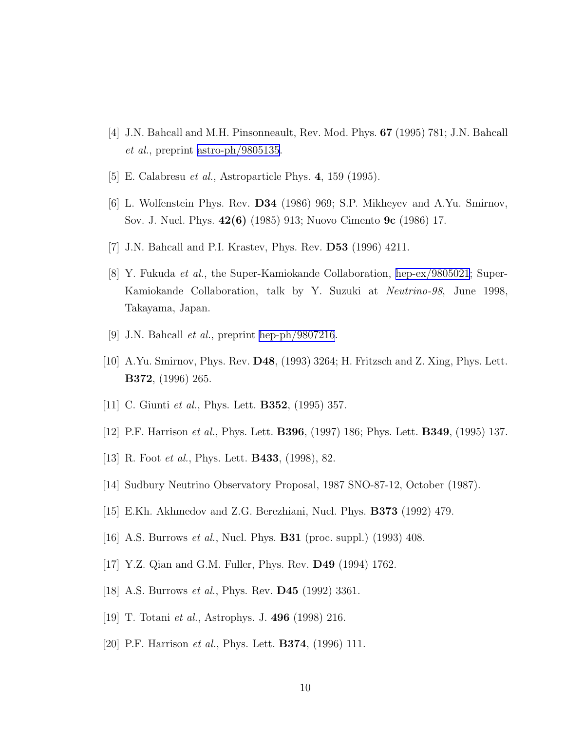- <span id="page-9-0"></span>[4] J.N. Bahcall and M.H. Pinsonneault, Rev. Mod. Phys. 67 (1995) 781; J.N. Bahcall et al., preprint [astro-ph/9805135](http://arxiv.org/abs/astro-ph/9805135).
- [5] E. Calabresu et al., Astroparticle Phys. 4, 159 (1995).
- [6] L. Wolfenstein Phys. Rev. D34 (1986) 969; S.P. Mikheyev and A.Yu. Smirnov, Sov. J. Nucl. Phys. 42(6) (1985) 913; Nuovo Cimento 9c (1986) 17.
- [7] J.N. Bahcall and P.I. Krastev, Phys. Rev. D53 (1996) 4211.
- [8] Y. Fukuda et al., the Super-Kamiokande Collaboration, [hep-ex/9805021](http://arxiv.org/abs/hep-ex/9805021); Super-Kamiokande Collaboration, talk by Y. Suzuki at Neutrino-98, June 1998, Takayama, Japan.
- [9] J.N. Bahcall *et al.*, preprint [hep-ph/9807216](http://arxiv.org/abs/hep-ph/9807216).
- [10] A.Yu. Smirnov, Phys. Rev. D48, (1993) 3264; H. Fritzsch and Z. Xing, Phys. Lett. B372, (1996) 265.
- [11] C. Giunti *et al.*, Phys. Lett. **B352**, (1995) 357.
- [12] P.F. Harrison et al., Phys. Lett. B396, (1997) 186; Phys. Lett. B349, (1995) 137.
- [13] R. Foot *et al.*, Phys. Lett. **B433**, (1998), 82.
- [14] Sudbury Neutrino Observatory Proposal, 1987 SNO-87-12, October (1987).
- [15] E.Kh. Akhmedov and Z.G. Berezhiani, Nucl. Phys. B373 (1992) 479.
- [16] A.S. Burrows *et al.*, Nucl. Phys. **B31** (proc. suppl.) (1993) 408.
- [17] Y.Z. Qian and G.M. Fuller, Phys. Rev. D49 (1994) 1762.
- [18] A.S. Burrows *et al.*, Phys. Rev. **D45** (1992) 3361.
- [19] T. Totani et al., Astrophys. J. 496 (1998) 216.
- [20] P.F. Harrison *et al.*, Phys. Lett. **B374**, (1996) 111.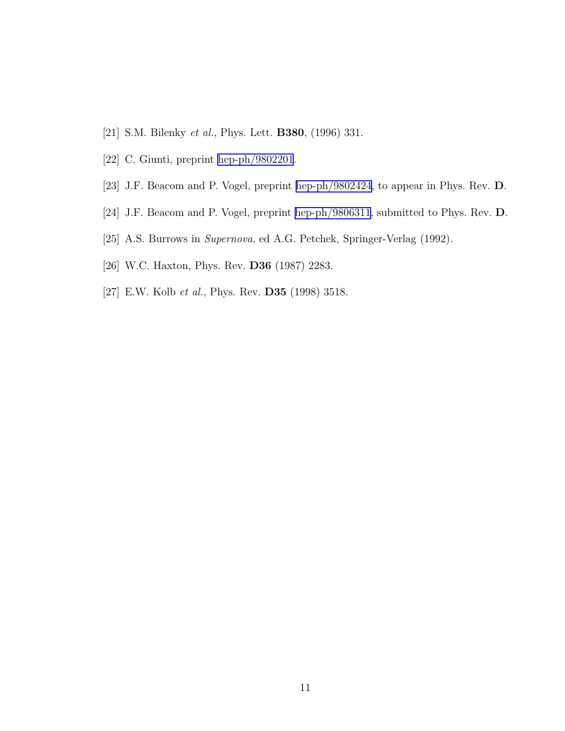- <span id="page-10-0"></span>[21] S.M. Bilenky *et al.*, Phys. Lett. **B380**, (1996) 331.
- [22] C. Giunti, preprint [hep-ph/9802201](http://arxiv.org/abs/hep-ph/9802201).
- [23] J.F. Beacom and P. Vogel, preprint [hep-ph/9802424,](http://arxiv.org/abs/hep-ph/9802424) to appear in Phys. Rev. D.
- [24] J.F. Beacom and P. Vogel, preprint [hep-ph/9806311,](http://arxiv.org/abs/hep-ph/9806311) submitted to Phys. Rev. D.
- [25] A.S. Burrows in Supernova, ed A.G. Petchek, Springer-Verlag (1992).
- [26] W.C. Haxton, Phys. Rev. D36 (1987) 2283.
- [27] E.W. Kolb et al., Phys. Rev. D35 (1998) 3518.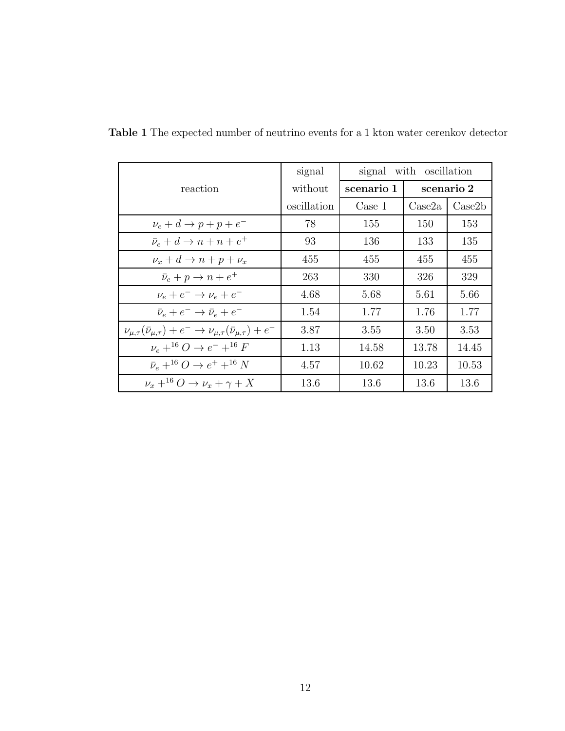|                                                                                             | signal      | with oscillation<br>signal |                  |                 |
|---------------------------------------------------------------------------------------------|-------------|----------------------------|------------------|-----------------|
| reaction                                                                                    | without     | scenario 1                 | scenario 2       |                 |
|                                                                                             | oscillation | Case 1                     | $\text{Case} 2a$ | $\text{Case}2b$ |
| $\nu_e + d \rightarrow p + p + e^-$                                                         | 78          | 155                        | 150              | 153             |
| $\bar{\nu}_e + d \rightarrow n + n + e^+$                                                   | 93          | 136                        | 133              | 135             |
| $\nu_x + d \rightarrow n + p + \nu_x$                                                       | 455         | 455                        | 455              | 455             |
| $\bar{\nu}_e + p \rightarrow n + e^+$                                                       | 263         | 330                        | 326              | 329             |
| $\nu_e + e^- \rightarrow \nu_e + e^-$                                                       | 4.68        | 5.68                       | 5.61             | 5.66            |
| $\bar{\nu}_e + e^- \rightarrow \bar{\nu}_e + e^-$                                           | 1.54        | 1.77                       | 1.76             | 1.77            |
| $\nu_{\mu,\tau}(\bar{\nu}_{\mu,\tau}) + e^- \to \nu_{\mu,\tau}(\bar{\nu}_{\mu,\tau}) + e^-$ | 3.87        | 3.55                       | 3.50             | 3.53            |
| $\nu_e + ^{16}O \rightarrow e^- + ^{16}F$                                                   | 1.13        | 14.58                      | 13.78            | 14.45           |
| $\bar{\nu}_e + ^{16}O \rightarrow e^+ + ^{16}N$                                             | 4.57        | 10.62                      | 10.23            | 10.53           |
| $\nu_x + ^{16}O \rightarrow \nu_x + \gamma + X$                                             | 13.6        | 13.6                       | 13.6             | 13.6            |

Table 1 The expected number of neutrino events for a 1 kton water cerenkov detector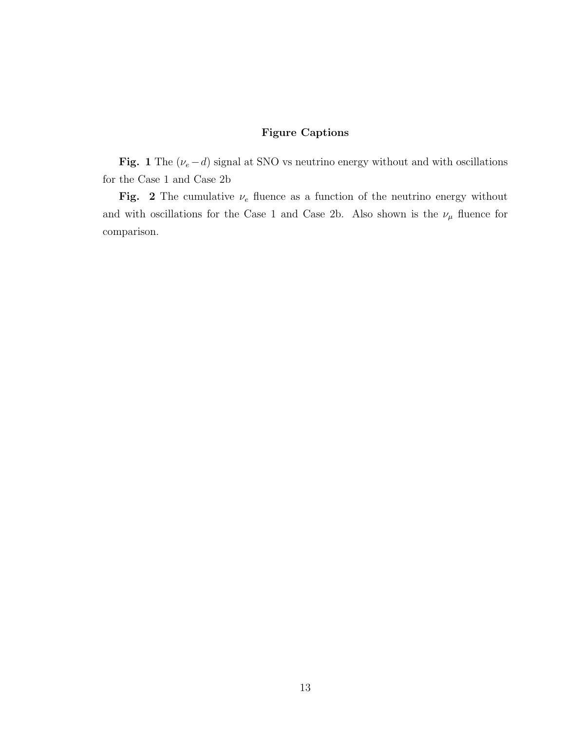## Figure Captions

Fig. 1 The ( $\nu_e - d$ ) signal at SNO vs neutrino energy without and with oscillations for the Case 1 and Case 2b

Fig. 2 The cumulative  $\nu_e$  fluence as a function of the neutrino energy without and with oscillations for the Case 1 and Case 2b. Also shown is the  $\nu_\mu$  fluence for comparison.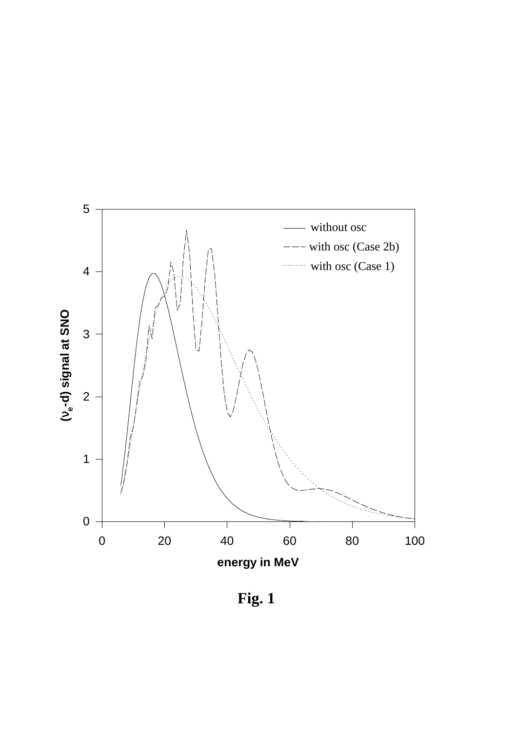

**Fig. 1**